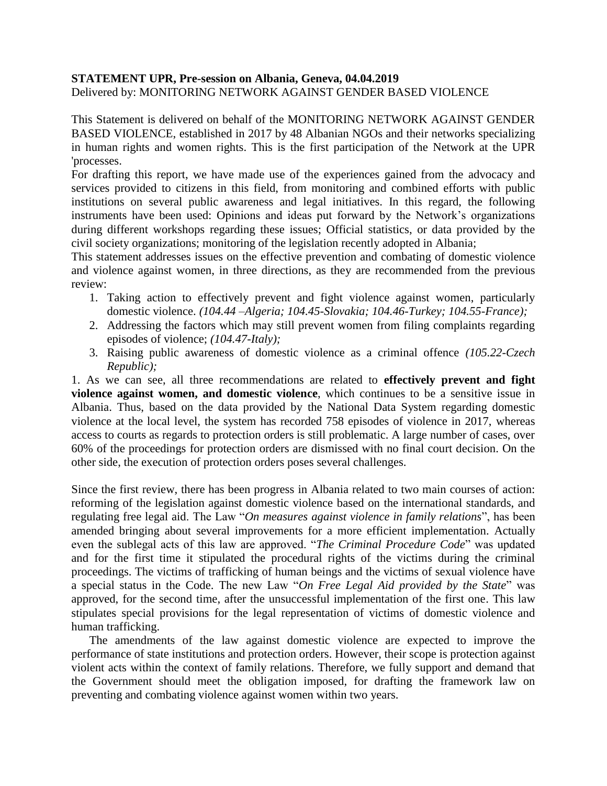## **STATEMENT UPR, Pre-session on Albania, Geneva, 04.04.2019**

Delivered by: MONITORING NETWORK AGAINST GENDER BASED VIOLENCE

This Statement is delivered on behalf of the MONITORING NETWORK AGAINST GENDER BASED VIOLENCE, established in 2017 by 48 Albanian NGOs and their networks specializing in human rights and women rights. This is the first participation of the Network at the UPR 'processes.

For drafting this report, we have made use of the experiences gained from the advocacy and services provided to citizens in this field, from monitoring and combined efforts with public institutions on several public awareness and legal initiatives. In this regard, the following instruments have been used: Opinions and ideas put forward by the Network's organizations during different workshops regarding these issues; Official statistics, or data provided by the civil society organizations; monitoring of the legislation recently adopted in Albania;

This statement addresses issues on the effective prevention and combating of domestic violence and violence against women, in three directions, as they are recommended from the previous review:

- 1. Taking action to effectively prevent and fight violence against women, particularly domestic violence. *(104.44 –Algeria; 104.45-Slovakia; 104.46-Turkey; 104.55-France);*
- 2. Addressing the factors which may still prevent women from filing complaints regarding episodes of violence; *(104.47-Italy);*
- 3. Raising public awareness of domestic violence as a criminal offence *(105.22-Czech Republic);*

1. As we can see, all three recommendations are related to **effectively prevent and fight violence against women, and domestic violence**, which continues to be a sensitive issue in Albania. Thus, based on the data provided by the National Data System regarding domestic violence at the local level, the system has recorded 758 episodes of violence in 2017, whereas access to courts as regards to protection orders is still problematic. A large number of cases, over 60% of the proceedings for protection orders are dismissed with no final court decision. On the other side, the execution of protection orders poses several challenges.

Since the first review, there has been progress in Albania related to two main courses of action: reforming of the legislation against domestic violence based on the international standards, and regulating free legal aid. The Law "*On measures against violence in family relations*", has been amended bringing about several improvements for a more efficient implementation. Actually even the sublegal acts of this law are approved. "*The Criminal Procedure Code*" was updated and for the first time it stipulated the procedural rights of the victims during the criminal proceedings. The victims of trafficking of human beings and the victims of sexual violence have a special status in the Code. The new Law "*On Free Legal Aid provided by the State*" was approved, for the second time, after the unsuccessful implementation of the first one. This law stipulates special provisions for the legal representation of victims of domestic violence and human trafficking.

The amendments of the law against domestic violence are expected to improve the performance of state institutions and protection orders. However, their scope is protection against violent acts within the context of family relations. Therefore, we fully support and demand that the Government should meet the obligation imposed, for drafting the framework law on preventing and combating violence against women within two years.